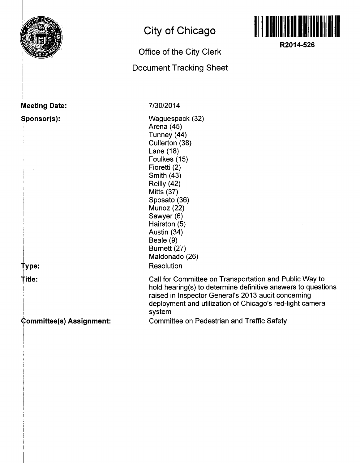

# **City of Chicago**

## **Office of the City Clerk**

### **Document Tracking Sheet**



**R2014-526** 

**Meeting Date:** 

#### **Sponsor(s):**

**ype:** 

**itie:** 

**7/30/2014** 

Waguespack (32) Arena (45) Tunney (44) Cullerton (38) Lane (18) Foulkes (15) Fioretti (2) Smith (43) Reilly (42) Mitts (37) Sposato (36) Munoz (22) Sawyer (6) Hairston (5) Austin (34) Beale (9) Burnett (27) Maldonado (26) **Resolution** 

Call for Committee on Transportation and Public Way to hold hearing(s) to determine definitive answers to questions raised in Inspector General's 2013 audit concerning deployment and utilizafion of Chicago's red-light camera system

**Committee(s) Assignment:** 

Committee on Pedestrian and Traffic Safety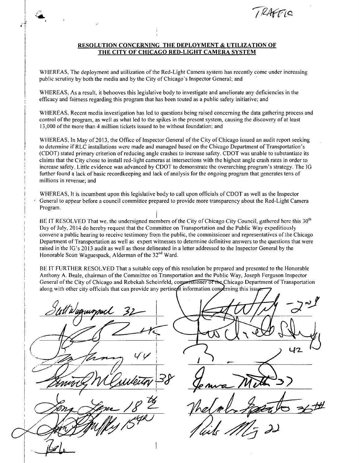KAFFIC

#### **RESOLUTION CONCERNING THE DEPLOYMENT & UTILIZATION OF THE CITY OF CHICAGO RED-LIGHT CAMERA SYSTEM**

WHEREAS, The deployment and utilization of the Red-Light Camera system has recently come under increasing public scrutiny by both the media and by the City of Chicago's Inspector General; and

WHEREAS, As a result, it behooves this legislative body to investigate and ameliorate any deficiencies in the efficacy and fairness regarding this program that has been touted as a public safety initiative; and

WHEREAS, Recent media investigation has led to questions being raised concerning the data gathering process and control ofthe program, as well as what led to the spikes in the present system, causing the discovery of at least 13,000 of the more than 4 million tickets issued to be without foundation; and

WHEREAS, In May of 2013, the Office of Inspector General of the City of Chicago issued an audit report seeking to determine if RLC installations were made and managed based on the Chicago Department of Transportation's (CDOT) stated primary criterion of reducing angle crashes to increase safety. CDOT was unable to substantiate its claims that the City chose lo install red-light cameras at intersections with the highest angle crash rates in order to increase safety. Little evidence was advanced by CDOT to demonstrate the overarching program's strategy. The IG further found a lack of basic recordkeeping and lack of analysis for the ongoing program that generates tens of millions in revenue; and

WHEREAS, It is incumbent upon this legislative body to call upon officials of CDOT as well as the Inspector General to appear before a council committee prepared to provide more transparency about the Red-Light Camera Program.

BE IT RESOLVED That we, the undersigned members of the City of Chicago City Council, gathered here this  $30<sup>th</sup>$ Day of July, 2014 do hereby request that the Committee on Transportation and the Public Way expeditiously convene a public hearing to receive testimony from the public, the commissioner and representatives of the Chicago Department of Transportation as well as expert witnesses to determine definitive answers to the questions that were raised in the IG's 2013 audit as well as those delineated in a letter addressed lo the Inspector General by the Honorable Scott Waguespack, Alderman of the 32<sup>nd</sup> Ward.

BE IT FURTHER RESOLVED That a suitable copy of this resolution be prepared and presented to the Honorable Anthony A. Beale, chairman of the Committee on Transportation and the Public Way, Joseph Ferguson Inspector General of the City of Chicago and Rebekah Scheinfeld, comprissioner of the Chicago Department of Transportation along with other city officials that can provide any pertine of information congerning this issue

Wagwomel 42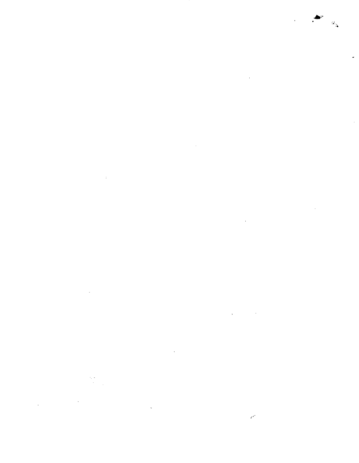

 $\label{eq:2.1} \frac{1}{\sqrt{2}}\int_{0}^{\infty}\frac{1}{\sqrt{2\pi}}\left(\frac{1}{\sqrt{2\pi}}\right)^{2}d\mu_{\rm{eff}}\,.$